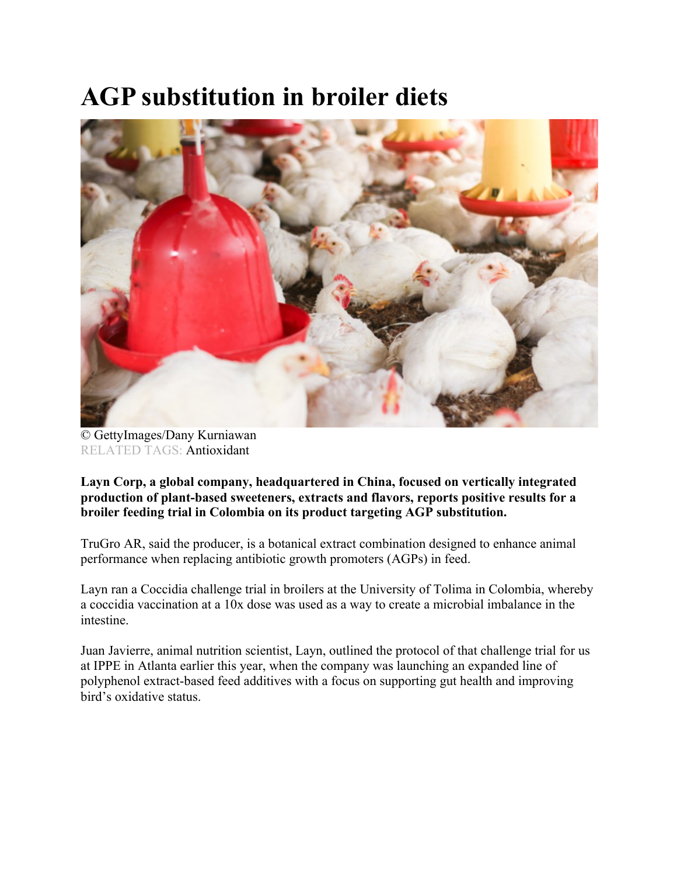## **AGP substitution in broiler diets**



© GettyImages/Dany Kurniawan RELATED TAGS: Antioxidant

**Layn Corp, a global company, headquartered in China, focused on vertically integrated production of plant-based sweeteners, extracts and flavors, reports positive results for a broiler feeding trial in Colombia on its product targeting AGP substitution.**

TruGro AR, said the producer, is a botanical extract combination designed to enhance animal performance when replacing antibiotic growth promoters (AGPs) in feed.

Layn ran a Coccidia challenge trial in broilers at the University of Tolima in Colombia, whereby a coccidia vaccination at a 10x dose was used as a way to create a microbial imbalance in the intestine.

Juan Javierre, animal nutrition scientist, Layn, outlined the protocol of that challenge trial for us at IPPE in Atlanta earlier this year, when the company was launching an expanded line of polyphenol extract-based feed additives with a focus on supporting gut health and improving bird's oxidative status.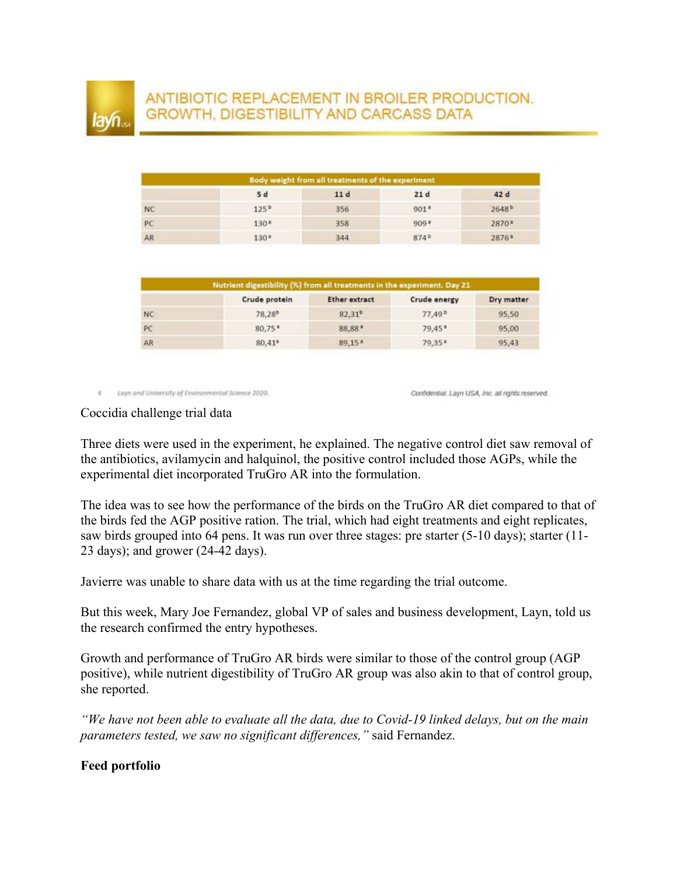## ANTIBIOTIC REPLACEMENT IN BROILER PRODUCTION. GROWTH, DIGESTIBILITY AND CARCASS DATA

| Body weight from all treatments of the experiment |                  |     |        |                   |  |  |
|---------------------------------------------------|------------------|-----|--------|-------------------|--|--|
|                                                   | 5 d              | 11d | 21d    | 42 d              |  |  |
| <b>NC</b>                                         | $125^{b}$        | 356 | $901*$ | 2648 <sup>b</sup> |  |  |
| PC                                                | $130*$           | 358 | 909*   | 2870*             |  |  |
| AR                                                | 130 <sup>8</sup> | 344 | 874b   | 2876*             |  |  |

| Nutrient digestibility (%) from all treatments in the experiment. Day 21 |                    |                      |                      |            |  |  |
|--------------------------------------------------------------------------|--------------------|----------------------|----------------------|------------|--|--|
|                                                                          | Crude protein      | <b>Ether extract</b> | Crude energy         | Dry matter |  |  |
| <b>NC</b>                                                                | 78.28 <sup>b</sup> | $82.31^{b}$          | $77.49^{b}$          | 95.50      |  |  |
| PC                                                                       | $80,75*$           | 88,88*               | $79,45$ <sup>a</sup> | 95,00      |  |  |
| AR                                                                       | $80.41*$           | $89.15*$             | 79.35*               | 95,43      |  |  |

4 Layn and University of Environmental Science 2020.

Confidential. Layn USA, Inc. all rights reserved.

Coccidia challenge trial data

Three diets were used in the experiment, he explained. The negative control diet saw removal of the antibiotics, avilamycin and halquinol, the positive control included those AGPs, while the experimental diet incorporated TruGro AR into the formulation.

The idea was to see how the performance of the birds on the TruGro AR diet compared to that of the birds fed the AGP positive ration. The trial, which had eight treatments and eight replicates, saw birds grouped into 64 pens. It was run over three stages: pre starter (5-10 days); starter (11- 23 days); and grower (24-42 days).

Javierre was unable to share data with us at the time regarding the trial outcome.

But this week, Mary Joe Fernandez, global VP of sales and business development, Layn, told us the research confirmed the entry hypotheses.

Growth and performance of TruGro AR birds were similar to those of the control group (AGP positive), while nutrient digestibility of TruGro AR group was also akin to that of control group, she reported.

*"We have not been able to evaluate all the data, due to Covid-19 linked delays, but on the main parameters tested, we saw no significant differences,"* said Fernandez.

## **Feed portfolio**